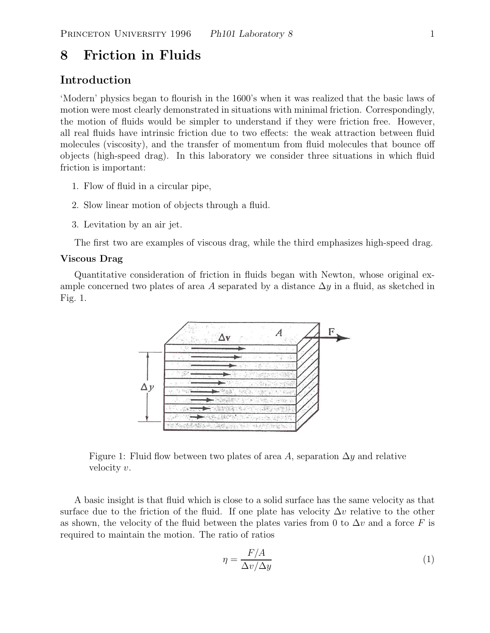# **8 Friction in Fluids**

# **Introduction**

'Modern' physics began to flourish in the 1600's when it was realized that the basic laws of motion were most clearly demonstrated in situations with minimal friction. Correspondingly, the motion of fluids would be simpler to understand if they were friction free. However, all real fluids have intrinsic friction due to two effects: the weak attraction between fluid molecules (viscosity), and the transfer of momentum from fluid molecules that bounce off objects (high-speed drag). In this laboratory we consider three situations in which fluid friction is important:

- 1. Flow of fluid in a circular pipe,
- 2. Slow linear motion of objects through a fluid.
- 3. Levitation by an air jet.

The first two are examples of viscous drag, while the third emphasizes high-speed drag.

### **Viscous Drag**

Quantitative consideration of friction in fluids began with Newton, whose original example concerned two plates of area A separated by a distance  $\Delta y$  in a fluid, as sketched in Fig. 1.



Figure 1: Fluid flow between two plates of area A, separation  $\Delta y$  and relative velocity v.

A basic insight is that fluid which is close to a solid surface has the same velocity as that surface due to the friction of the fluid. If one plate has velocity  $\Delta v$  relative to the other as shown, the velocity of the fluid between the plates varies from 0 to  $\Delta v$  and a force F is required to maintain the motion. The ratio of ratios

$$
\eta = \frac{F/A}{\Delta v / \Delta y} \tag{1}
$$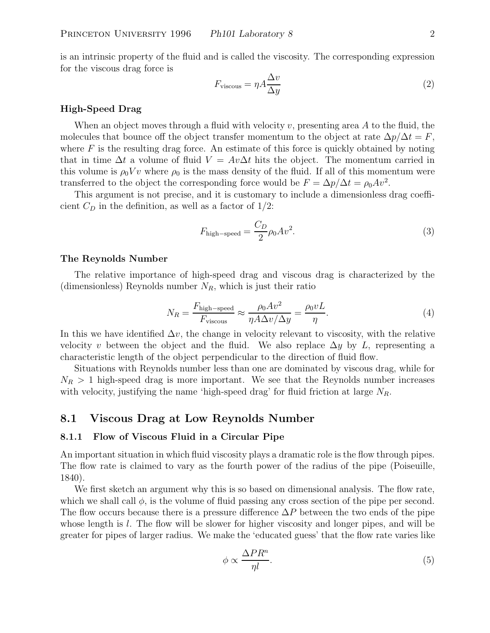is an intrinsic property of the fluid and is called the viscosity. The corresponding expression for the viscous drag force is

$$
F_{\text{viscous}} = \eta A \frac{\Delta v}{\Delta y} \tag{2}
$$

#### **High-Speed Drag**

When an object moves through a fluid with velocity v, presenting area  $A$  to the fluid, the molecules that bounce off the object transfer momentum to the object at rate  $\Delta p/\Delta t = F$ , where  $F$  is the resulting drag force. An estimate of this force is quickly obtained by noting that in time  $\Delta t$  a volume of fluid  $V = Av\Delta t$  hits the object. The momentum carried in this volume is  $\rho_0 V v$  where  $\rho_0$  is the mass density of the fluid. If all of this momentum were transferred to the object the corresponding force would be  $F = \Delta p / \Delta t = \rho_0 A v^2$ .

This argument is not precise, and it is customary to include a dimensionless drag coefficient  $C_D$  in the definition, as well as a factor of  $1/2$ :

$$
F_{\text{high-speed}} = \frac{C_D}{2} \rho_0 A v^2. \tag{3}
$$

#### **The Reynolds Number**

The relative importance of high-speed drag and viscous drag is characterized by the (dimensionless) Reynolds number <sup>N</sup>*R*, which is just their ratio

$$
N_R = \frac{F_{\text{high-speed}}}{F_{\text{viscous}}} \approx \frac{\rho_0 A v^2}{\eta A \Delta v / \Delta y} = \frac{\rho_0 v L}{\eta}.
$$
\n(4)

In this we have identified  $\Delta v$ , the change in velocity relevant to viscosity, with the relative velocity v between the object and the fluid. We also replace  $\Delta y$  by L, representing a characteristic length of the object perpendicular to the direction of fluid flow.

Situations with Reynolds number less than one are dominated by viscous drag, while for  $N_R > 1$  high-speed drag is more important. We see that the Reynolds number increases with velocity, justifying the name 'high-speed drag' for fluid friction at large <sup>N</sup>*R*.

## **8.1 Viscous Drag at Low Reynolds Number**

#### **8.1.1 Flow of Viscous Fluid in a Circular Pipe**

An important situation in which fluid viscosity plays a dramatic role is the flow through pipes. The flow rate is claimed to vary as the fourth power of the radius of the pipe (Poiseuille, 1840).

We first sketch an argument why this is so based on dimensional analysis. The flow rate, which we shall call  $\phi$ , is the volume of fluid passing any cross section of the pipe per second. The flow occurs because there is a pressure difference  $\Delta P$  between the two ends of the pipe whose length is  $l$ . The flow will be slower for higher viscosity and longer pipes, and will be greater for pipes of larger radius. We make the 'educated guess' that the flow rate varies like

$$
\phi \propto \frac{\Delta PR^n}{\eta l}.\tag{5}
$$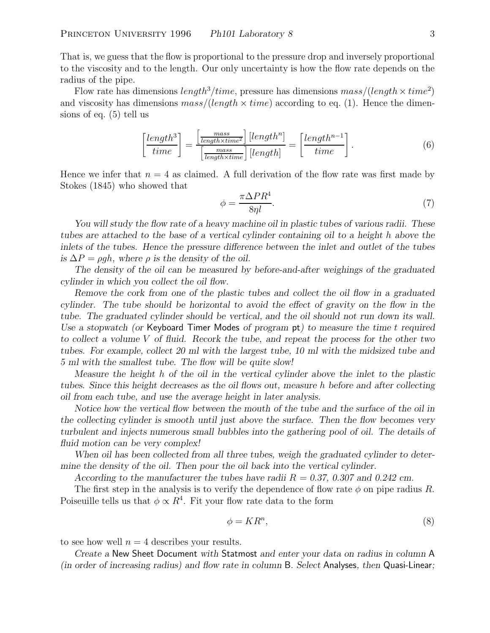That is, we guess that the flow is proportional to the pressure drop and inversely proportional to the viscosity and to the length. Our only uncertainty is how the flow rate depends on the radius of the pipe.

Flow rate has dimensions  $length^3 / time$ , pressure has dimensions  $mass / (length \times time^2)$ and viscosity has dimensions  $mass/(length \times time)$  according to eq. (1). Hence the dimensions of eq. (5) tell us

$$
\left[\frac{length^3}{time}\right] = \frac{\left[\frac{mass}{length \times time^2}\right] [length^n]}{\left[\frac{mass}{length \times time}\right] [length]} = \left[\frac{length^{n-1}}{time}\right].\tag{6}
$$

Hence we infer that  $n = 4$  as claimed. A full derivation of the flow rate was first made by Stokes (1845) who showed that

$$
\phi = \frac{\pi \Delta P R^4}{8\eta l}.\tag{7}
$$

*You will study the flow rate of a heavy machine oil in plastic tubes of various radii. These tubes are attached to the base of a vertical cylinder containing oil to a height* h *above the inlets of the tubes. Hence the pressure difference between the inlet and outlet of the tubes is*  $\Delta P = \rho gh$ , where  $\rho$  *is the density of the oil.* 

*The density of the oil can be measured by before-and-after weighings of the graduated cylinder in which you collect the oil flow.*

*Remove the cork from one of the plastic tubes and collect the oil flow in a graduated cylinder. The tube should be horizontal to avoid the effect of gravity on the flow in the tube. The graduated cylinder should be vertical, and the oil should not run down its wall. Use a stopwatch (or* Keyboard Timer Modes *of program* pt*) to measure the time* t *required to collect a volume* V *of fluid. Recork the tube, and repeat the process for the other two tubes. For example, collect 20 ml with the largest tube, 10 ml with the midsized tube and 5 ml with the smallest tube. The flow will be quite slow!*

*Measure the height* h *of the oil in the vertical cylinder above the inlet to the plastic tubes. Since this height decreases as the oil flows out, measure* h *before and after collecting oil from each tube, and use the average height in later analysis.*

*Notice how the vertical flow between the mouth of the tube and the surface of the oil in the collecting cylinder is smooth until just above the surface. Then the flow becomes very turbulent and injects numerous small bubbles into the gathering pool of oil. The details of fluid motion can be very complex!*

*When oil has been collected from all three tubes, weigh the graduated cylinder to determine the density of the oil. Then pour the oil back into the vertical cylinder.*

*According to the manufacturer the tubes have radii* R *= 0.37, 0.307 and 0.242 cm.*

The first step in the analysis is to verify the dependence of flow rate  $\phi$  on pipe radius R. Poiseuille tells us that  $\phi \propto R^4$ . Fit your flow rate data to the form

$$
\phi = KR^n,\tag{8}
$$

to see how well  $n = 4$  describes your results.

*Create a* New Sheet Document *with* Statmost *and enter your data on radius in column* A *(in order of increasing radius) and flow rate in column* B*. Select* Analyses*, then* Quasi-Linear*;*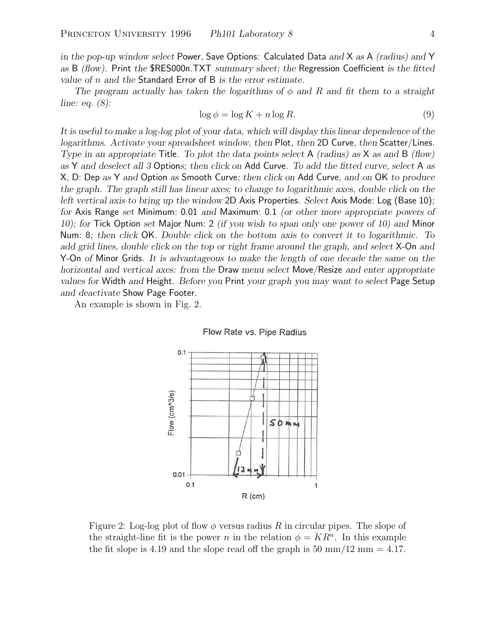*in the pop-up window select* Power*,* Save Options: Calculated Data *and* X *as* A *(radius) and* Y *as* B *(flow).* Print *the* \$RES000n.TXT *summary sheet; the* Regression Coefficient *is the fitted value of* n *and the* Standard Error of B *is the error estimate.*

*The program actually has taken the logarithms of* φ *and* R *and fit them to a straight line: eq. (8):*

$$
\log \phi = \log K + n \log R. \tag{9}
$$

*It is useful to make a log-log plot of your data, which will display this linear dependence of the logarithms. Activate your spreadsheet window, then* Plot*, then* 2D Curve*, then* Scatter/Lines*. Type in an appropriate* Title*. To plot the data points select* A *(radius) as* X *as and* B *(flow) as* Y *and deselect all 3* Option*s; then click on* Add Curve*. To add the fitted curve, select* A *as* X*,* D: Dep *as* Y *and* Option *as* Smooth Curve*; then click on* Add Curve*, and on* OK *to produce the graph. The graph still has linear axes; to change to logarithmic axes, double click on the left vertical axis to bring up the window* 2D Axis Properties*. Select* Axis Mode: Log (Base 10)*; for* Axis Range *set* Minimum: 0.01 *and* Maximum: 0.1 *(or other more appropriate powers of 10); for* Tick Option *set* Major Num: 2 *(if you wish to span only one power of 10) and* Minor Num: 8*; then click* OK*. Double click on the bottom axis to convert it to logarithmic. To add grid lines, double click on the top or right frame around the graph, and select* X-On *and* Y-On *of* Minor Grids*. It is advantageous to make the length of one decade the same on the horizontal and vertical axes: from the* Draw *menu select* Move/Resize *and enter appropriate values for* Width *and* Height*. Before you* Print *your graph you may want to select* Page Setup *and deactivate* Show Page Footer*.*

An example is shown in Fig. 2.





Figure 2: Log-log plot of flow  $\phi$  versus radius R in circular pipes. The slope of the straight-line fit is the power n in the relation  $\phi = KR^n$ . In this example the fit slope is 4.19 and the slope read off the graph is 50 mm/12 mm  $= 4.17$ .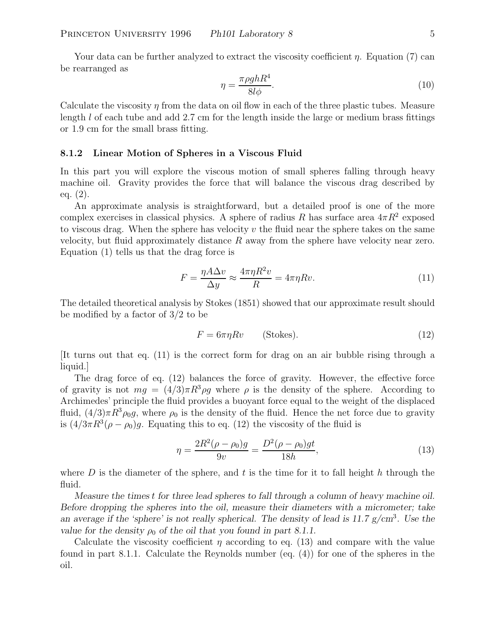Your data can be further analyzed to extract the viscosity coefficient  $\eta$ . Equation (7) can be rearranged as

$$
\eta = \frac{\pi \rho g h R^4}{8l\phi}.\tag{10}
$$

Calculate the viscosity  $\eta$  from the data on oil flow in each of the three plastic tubes. Measure length l of each tube and add 2.7 cm for the length inside the large or medium brass fittings or 1.9 cm for the small brass fitting.

#### **8.1.2 Linear Motion of Spheres in a Viscous Fluid**

In this part you will explore the viscous motion of small spheres falling through heavy machine oil. Gravity provides the force that will balance the viscous drag described by eq. (2).

An approximate analysis is straightforward, but a detailed proof is one of the more complex exercises in classical physics. A sphere of radius R has surface area  $4\pi R^2$  exposed to viscous drag. When the sphere has velocity  $v$  the fluid near the sphere takes on the same velocity, but fluid approximately distance  $R$  away from the sphere have velocity near zero. Equation (1) tells us that the drag force is

$$
F = \frac{\eta A \Delta v}{\Delta y} \approx \frac{4\pi \eta R^2 v}{R} = 4\pi \eta R v.
$$
\n(11)

The detailed theoretical analysis by Stokes (1851) showed that our approximate result should be modified by a factor of 3/2 to be

$$
F = 6\pi\eta Rv \qquad \text{(Stokes)}.
$$
 (12)

[It turns out that eq. (11) is the correct form for drag on an air bubble rising through a liquid.]

The drag force of eq. (12) balances the force of gravity. However, the effective force of gravity is not  $mg = (4/3)\pi R^3 \rho g$  where  $\rho$  is the density of the sphere. According to Archimedes' principle the fluid provides a buoyant force equal to the weight of the displaced fluid,  $(4/3)\pi R^3 \rho_0 g$ , where  $\rho_0$  is the density of the fluid. Hence the net force due to gravity is  $(4/3\pi R^3(\rho - \rho_0)g$ . Equating this to eq. (12) the viscosity of the fluid is

$$
\eta = \frac{2R^2(\rho - \rho_0)g}{9v} = \frac{D^2(\rho - \rho_0)gt}{18h},\tag{13}
$$

where D is the diameter of the sphere, and t is the time for it to fall height h through the fluid.

*Measure the times* t *for three lead spheres to fall through a column of heavy machine oil. Before dropping the spheres into the oil, measure their diameters with a micrometer; take an average if the 'sphere' is not really spherical. The density of lead is 11.7 g/cm*<sup>3</sup>*. Use the value for the density*  $\rho_0$  *of the oil that you found in part 8.1.1.* 

Calculate the viscosity coefficient  $\eta$  according to eq. (13) and compare with the value found in part 8.1.1. Calculate the Reynolds number (eq. (4)) for one of the spheres in the oil.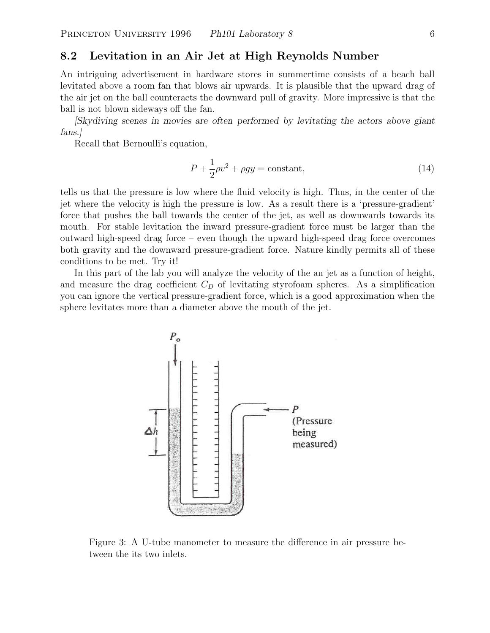# **8.2 Levitation in an Air Jet at High Reynolds Number**

An intriguing advertisement in hardware stores in summertime consists of a beach ball levitated above a room fan that blows air upwards. It is plausible that the upward drag of the air jet on the ball counteracts the downward pull of gravity. More impressive is that the ball is not blown sideways off the fan.

*[Skydiving scenes in movies are often performed by levitating the actors above giant fans.]*

Recall that Bernoulli's equation,

$$
P + \frac{1}{2}\rho v^2 + \rho gy = \text{constant},\tag{14}
$$

tells us that the pressure is low where the fluid velocity is high. Thus, in the center of the jet where the velocity is high the pressure is low. As a result there is a 'pressure-gradient' force that pushes the ball towards the center of the jet, as well as downwards towards its mouth. For stable levitation the inward pressure-gradient force must be larger than the outward high-speed drag force – even though the upward high-speed drag force overcomes both gravity and the downward pressure-gradient force. Nature kindly permits all of these conditions to be met. Try it!

In this part of the lab you will analyze the velocity of the an jet as a function of height, and measure the drag coefficient <sup>C</sup>*D* of levitating styrofoam spheres. As a simplification you can ignore the vertical pressure-gradient force, which is a good approximation when the sphere levitates more than a diameter above the mouth of the jet.



Figure 3: A U-tube manometer to measure the difference in air pressure between the its two inlets.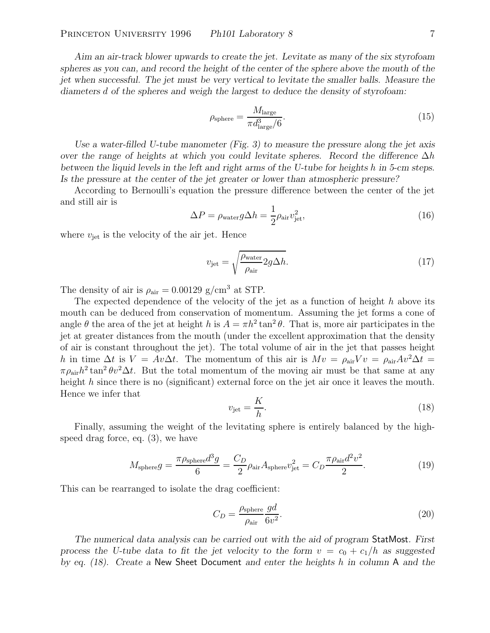*Aim an air-track blower upwards to create the jet. Levitate as many of the six styrofoam spheres as you can, and record the height of the center of the sphere above the mouth of the jet when successful. The jet must be very vertical to levitate the smaller balls. Measure the diameters* d *of the spheres and weigh the largest to deduce the density of styrofoam:*

$$
\rho_{\text{sphere}} = \frac{M_{\text{large}}}{\pi d_{\text{large}}^3 / 6}.
$$
\n(15)

*Use a water-filled U-tube manometer (Fig. 3) to measure the pressure along the jet axis over the range of heights at which you could levitate spheres. Record the difference*  $\Delta h$ *between the liquid levels in the left and right arms of the U-tube for heights* h *in 5-cm steps. Is the pressure at the center of the jet greater or lower than atmospheric pressure?*

According to Bernoulli's equation the pressure difference between the center of the jet and still air is

$$
\Delta P = \rho_{\text{water}} g \Delta h = \frac{1}{2} \rho_{\text{air}} v_{\text{jet}}^2,\tag{16}
$$

where  $v_{\text{jet}}$  is the velocity of the air jet. Hence

$$
v_{\text{jet}} = \sqrt{\frac{\rho_{\text{water}}}{\rho_{\text{air}}} 2g\Delta h}.
$$
 (17)

The density of air is  $\rho_{\text{air}} = 0.00129 \text{ g/cm}^3$  at STP.

The expected dependence of the velocity of the jet as a function of height  $h$  above its mouth can be deduced from conservation of momentum. Assuming the jet forms a cone of angle  $\theta$  the area of the jet at height h is  $A = \pi h^2 \tan^2 \theta$ . That is, more air participates in the jet at greater distances from the mouth (under the excellent approximation that the density of air is constant throughout the jet). The total volume of air in the jet that passes height h in time  $\Delta t$  is  $V = Av\Delta t$ . The momentum of this air is  $Mv = \rho_{\rm air}Vv = \rho_{\rm air}Av^2\Delta t =$  $\pi \rho_{\text{air}} h^2 \tan^2 \theta v^2 \Delta t$ . But the total momentum of the moving air must be that same at any height h since there is no (significant) external force on the jet air once it leaves the mouth. Hence we infer that

$$
v_{\rm jet} = \frac{K}{h}.\tag{18}
$$

Finally, assuming the weight of the levitating sphere is entirely balanced by the highspeed drag force, eq. (3), we have

$$
M_{\text{sphere}}g = \frac{\pi \rho_{\text{sphere}} d^3 g}{6} = \frac{C_D}{2} \rho_{\text{air}} A_{\text{sphere}} v_{\text{jet}}^2 = C_D \frac{\pi \rho_{\text{air}} d^2 v^2}{2}.
$$
 (19)

This can be rearranged to isolate the drag coefficient:

$$
C_D = \frac{\rho_{\text{sphere}}}{\rho_{\text{air}}} \frac{gd}{6v^2}.
$$
\n(20)

*The numerical data analysis can be carried out with the aid of program* StatMost*. First process the U-tube data to fit the jet velocity to the form*  $v = c_0 + c_1/h$  *as suggested by eq. (18). Create a* New Sheet Document *and enter the heights* h *in column* A *and the*